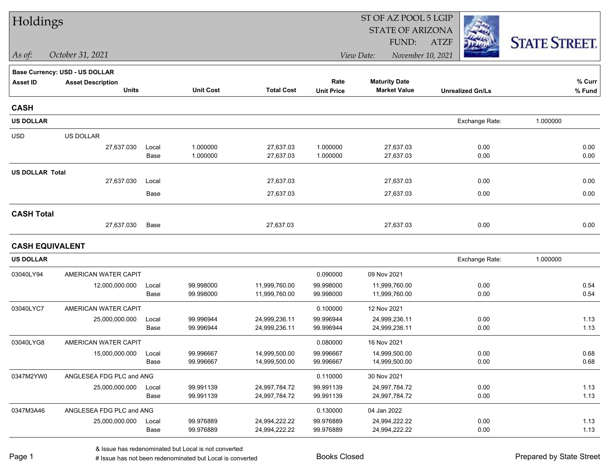| Holdings               |                                |       |                  |                   | ST OF AZ POOL 5 LGIP |                         |                         |                      |  |
|------------------------|--------------------------------|-------|------------------|-------------------|----------------------|-------------------------|-------------------------|----------------------|--|
|                        |                                |       |                  |                   |                      | <b>STATE OF ARIZONA</b> |                         |                      |  |
|                        |                                |       |                  |                   |                      | FUND:                   | <b>ATZF</b>             | <b>STATE STREET.</b> |  |
| As of:                 | October 31, 2021               |       |                  |                   |                      | View Date:              | November 10, 2021       |                      |  |
|                        | Base Currency: USD - US DOLLAR |       |                  |                   |                      |                         |                         |                      |  |
| <b>Asset ID</b>        | <b>Asset Description</b>       |       |                  |                   | Rate                 | <b>Maturity Date</b>    |                         | % Curr               |  |
|                        | <b>Units</b>                   |       | <b>Unit Cost</b> | <b>Total Cost</b> | <b>Unit Price</b>    | <b>Market Value</b>     | <b>Unrealized Gn/Ls</b> | % Fund               |  |
| <b>CASH</b>            |                                |       |                  |                   |                      |                         |                         |                      |  |
| <b>US DOLLAR</b>       |                                |       |                  |                   |                      |                         | Exchange Rate:          | 1.000000             |  |
| <b>USD</b>             | US DOLLAR                      |       |                  |                   |                      |                         |                         |                      |  |
|                        | 27,637.030                     | Local | 1.000000         | 27,637.03         | 1.000000             | 27,637.03               | 0.00                    | 0.00                 |  |
|                        |                                | Base  | 1.000000         | 27,637.03         | 1.000000             | 27,637.03               | 0.00                    | 0.00                 |  |
| <b>US DOLLAR Total</b> |                                |       |                  |                   |                      |                         |                         |                      |  |
|                        | 27,637.030                     | Local |                  | 27,637.03         |                      | 27,637.03               | 0.00                    | 0.00                 |  |
|                        |                                | Base  |                  | 27,637.03         |                      | 27,637.03               | 0.00                    | 0.00                 |  |
| <b>CASH Total</b>      |                                |       |                  |                   |                      |                         |                         |                      |  |
|                        | 27,637.030                     | Base  |                  | 27,637.03         |                      | 27,637.03               | 0.00                    | 0.00                 |  |
| <b>CASH EQUIVALENT</b> |                                |       |                  |                   |                      |                         |                         |                      |  |
| <b>US DOLLAR</b>       |                                |       |                  |                   |                      |                         | Exchange Rate:          | 1.000000             |  |
| 03040LY94              | AMERICAN WATER CAPIT           |       |                  |                   | 0.090000             | 09 Nov 2021             |                         |                      |  |
|                        | 12,000,000.000                 | Local | 99.998000        | 11,999,760.00     | 99.998000            | 11,999,760.00           | 0.00                    | 0.54                 |  |
|                        |                                | Base  | 99.998000        | 11,999,760.00     | 99.998000            | 11,999,760.00           | 0.00                    | 0.54                 |  |
| 03040LYC7              | AMERICAN WATER CAPIT           |       |                  |                   | 0.100000             | 12 Nov 2021             |                         |                      |  |
|                        | 25,000,000.000                 | Local | 99.996944        | 24,999,236.11     | 99.996944            | 24,999,236.11           | 0.00                    | 1.13                 |  |
|                        |                                | Base  | 99.996944        | 24,999,236.11     | 99.996944            | 24,999,236.11           | 0.00                    | 1.13                 |  |
| 03040LYG8              | AMERICAN WATER CAPIT           |       |                  |                   | 0.080000             | 16 Nov 2021             |                         |                      |  |
|                        | 15,000,000.000                 | Local | 99.996667        | 14,999,500.00     | 99.996667            | 14,999,500.00           | 0.00                    | 0.68                 |  |
|                        |                                | Base  | 99.996667        | 14,999,500.00     | 99.996667            | 14,999,500.00           | 0.00                    | 0.68                 |  |
| 0347M2YW0              | ANGLESEA FDG PLC and ANG       |       |                  |                   | 0.110000             | 30 Nov 2021             |                         |                      |  |
|                        | 25,000,000.000                 | Local | 99.991139        | 24,997,784.72     | 99.991139            | 24,997,784.72           | 0.00                    | 1.13                 |  |
|                        |                                | Base  | 99.991139        | 24,997,784.72     | 99.991139            | 24,997,784.72           | 0.00                    | 1.13                 |  |
| 0347M3A46              | ANGLESEA FDG PLC and ANG       |       |                  |                   | 0.130000             | 04 Jan 2022             |                         |                      |  |
|                        | 25,000,000.000                 | Local | 99.976889        | 24,994,222.22     | 99.976889            | 24,994,222.22           | 0.00                    | 1.13                 |  |
|                        |                                | Base  | 99.976889        | 24,994,222.22     | 99.976889            | 24,994,222.22           | 0.00                    | 1.13                 |  |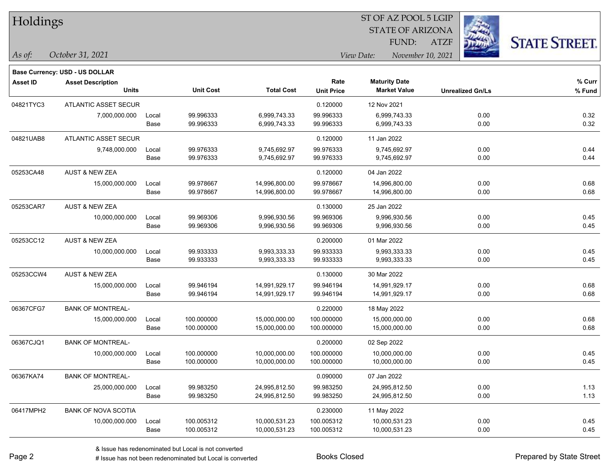| Holdings        |                                |       |                  |                   |                   |                      |                                                 |                         |                      |
|-----------------|--------------------------------|-------|------------------|-------------------|-------------------|----------------------|-------------------------------------------------|-------------------------|----------------------|
|                 |                                |       |                  |                   |                   |                      | <b>STATE OF ARIZONA</b><br>FUND:<br><b>ATZF</b> |                         |                      |
| As of:          | October 31, 2021               |       |                  |                   |                   | View Date:           | November 10, 2021                               |                         | <b>STATE STREET.</b> |
|                 | Base Currency: USD - US DOLLAR |       |                  |                   |                   |                      |                                                 |                         |                      |
| <b>Asset ID</b> | <b>Asset Description</b>       |       |                  |                   | Rate              | <b>Maturity Date</b> |                                                 |                         | % Curr               |
|                 | Units                          |       | <b>Unit Cost</b> | <b>Total Cost</b> | <b>Unit Price</b> | <b>Market Value</b>  |                                                 | <b>Unrealized Gn/Ls</b> | % Fund               |
| 04821TYC3       | ATLANTIC ASSET SECUR           |       |                  |                   | 0.120000          | 12 Nov 2021          |                                                 |                         |                      |
|                 | 7,000,000.000                  | Local | 99.996333        | 6,999,743.33      | 99.996333         | 6,999,743.33         |                                                 | 0.00                    | 0.32                 |
|                 |                                | Base  | 99.996333        | 6,999,743.33      | 99.996333         | 6,999,743.33         |                                                 | 0.00                    | 0.32                 |
| 04821UAB8       | <b>ATLANTIC ASSET SECUR</b>    |       |                  |                   | 0.120000          | 11 Jan 2022          |                                                 |                         |                      |
|                 | 9,748,000.000                  | Local | 99.976333        | 9,745,692.97      | 99.976333         | 9,745,692.97         |                                                 | 0.00                    | 0.44                 |
|                 |                                | Base  | 99.976333        | 9,745,692.97      | 99.976333         | 9,745,692.97         |                                                 | 0.00                    | 0.44                 |
| 05253CA48       | <b>AUST &amp; NEW ZEA</b>      |       |                  |                   | 0.120000          | 04 Jan 2022          |                                                 |                         |                      |
|                 | 15,000,000.000                 | Local | 99.978667        | 14,996,800.00     | 99.978667         | 14,996,800.00        |                                                 | 0.00                    | 0.68                 |
|                 |                                | Base  | 99.978667        | 14,996,800.00     | 99.978667         | 14,996,800.00        |                                                 | 0.00                    | 0.68                 |
| 05253CAR7       | <b>AUST &amp; NEW ZEA</b>      |       |                  |                   | 0.130000          | 25 Jan 2022          |                                                 |                         |                      |
|                 | 10,000,000.000                 | Local | 99.969306        | 9,996,930.56      | 99.969306         | 9,996,930.56         |                                                 | 0.00                    | 0.45                 |
|                 |                                | Base  | 99.969306        | 9,996,930.56      | 99.969306         | 9,996,930.56         |                                                 | 0.00                    | 0.45                 |
| 05253CC12       | <b>AUST &amp; NEW ZEA</b>      |       |                  |                   | 0.200000          | 01 Mar 2022          |                                                 |                         |                      |
|                 | 10,000,000.000                 | Local | 99.933333        | 9,993,333.33      | 99.933333         | 9,993,333.33         |                                                 | 0.00                    | 0.45                 |
|                 |                                | Base  | 99.933333        | 9,993,333.33      | 99.933333         | 9,993,333.33         |                                                 | 0.00                    | 0.45                 |
| 05253CCW4       | <b>AUST &amp; NEW ZEA</b>      |       |                  |                   | 0.130000          | 30 Mar 2022          |                                                 |                         |                      |
|                 | 15,000,000.000                 | Local | 99.946194        | 14,991,929.17     | 99.946194         | 14,991,929.17        |                                                 | 0.00                    | 0.68                 |
|                 |                                | Base  | 99.946194        | 14,991,929.17     | 99.946194         | 14,991,929.17        |                                                 | 0.00                    | 0.68                 |
| 06367CFG7       | <b>BANK OF MONTREAL-</b>       |       |                  |                   | 0.220000          | 18 May 2022          |                                                 |                         |                      |
|                 | 15,000,000.000                 | Local | 100.000000       | 15,000,000.00     | 100.000000        | 15,000,000.00        |                                                 | 0.00                    | 0.68                 |
|                 |                                | Base  | 100.000000       | 15,000,000.00     | 100.000000        | 15,000,000.00        |                                                 | 0.00                    | 0.68                 |
| 06367CJQ1       | <b>BANK OF MONTREAL-</b>       |       |                  |                   | 0.200000          | 02 Sep 2022          |                                                 |                         |                      |
|                 | 10,000,000.000                 | Local | 100.000000       | 10,000,000.00     | 100.000000        | 10,000,000.00        |                                                 | 0.00                    | 0.45                 |
|                 |                                | Base  | 100.000000       | 10,000,000.00     | 100.000000        | 10,000,000.00        |                                                 | 0.00                    | 0.45                 |
| 06367KA74       | <b>BANK OF MONTREAL-</b>       |       |                  |                   | 0.090000          | 07 Jan 2022          |                                                 |                         |                      |
|                 | 25,000,000.000                 | Local | 99.983250        | 24,995,812.50     | 99.983250         | 24,995,812.50        |                                                 | 0.00                    | 1.13                 |
|                 |                                | Base  | 99.983250        | 24,995,812.50     | 99.983250         | 24,995,812.50        |                                                 | 0.00                    | 1.13                 |
| 06417MPH2       | <b>BANK OF NOVA SCOTIA</b>     |       |                  |                   | 0.230000          | 11 May 2022          |                                                 |                         |                      |
|                 | 10,000,000.000                 | Local | 100.005312       | 10,000,531.23     | 100.005312        | 10,000,531.23        |                                                 | 0.00                    | 0.45                 |
|                 |                                | Base  | 100.005312       | 10,000,531.23     | 100.005312        | 10,000,531.23        |                                                 | 0.00                    | 0.45                 |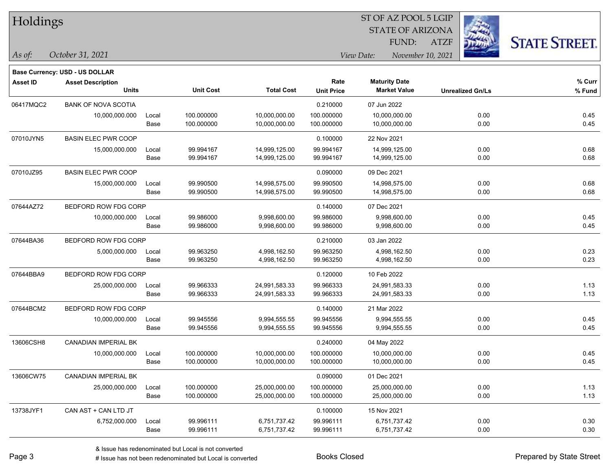**Base Currency: USD - US DOLLAR**

### STATE OF ARIZONA ATZF ST OF AZ POOL 5 LGIP FUND:



| <b>Asset ID</b> | <b>Asset Description</b>    |       |                  |                   | Rate              | <b>Maturity Date</b> |                         | % Curr   |
|-----------------|-----------------------------|-------|------------------|-------------------|-------------------|----------------------|-------------------------|----------|
|                 | <b>Units</b>                |       | <b>Unit Cost</b> | <b>Total Cost</b> | <b>Unit Price</b> | <b>Market Value</b>  | <b>Unrealized Gn/Ls</b> | $%$ Fund |
| 06417MQC2       | <b>BANK OF NOVA SCOTIA</b>  |       |                  |                   | 0.210000          | 07 Jun 2022          |                         |          |
|                 | 10,000,000.000              | Local | 100.000000       | 10,000,000.00     | 100.000000        | 10,000,000.00        | 0.00                    | 0.45     |
|                 |                             | Base  | 100.000000       | 10,000,000.00     | 100.000000        | 10,000,000.00        | 0.00                    | 0.45     |
| 07010JYN5       | <b>BASIN ELEC PWR COOP</b>  |       |                  |                   | 0.100000          | 22 Nov 2021          |                         |          |
|                 | 15,000,000.000              | Local | 99.994167        | 14,999,125.00     | 99.994167         | 14,999,125.00        | 0.00                    | 0.68     |
|                 |                             | Base  | 99.994167        | 14,999,125.00     | 99.994167         | 14,999,125.00        | 0.00                    | 0.68     |
| 07010JZ95       | <b>BASIN ELEC PWR COOP</b>  |       |                  |                   | 0.090000          | 09 Dec 2021          |                         |          |
|                 | 15,000,000.000              | Local | 99.990500        | 14,998,575.00     | 99.990500         | 14,998,575.00        | 0.00                    | 0.68     |
|                 |                             | Base  | 99.990500        | 14,998,575.00     | 99.990500         | 14,998,575.00        | 0.00                    | 0.68     |
| 07644AZ72       | BEDFORD ROW FDG CORP        |       |                  |                   | 0.140000          | 07 Dec 2021          |                         |          |
|                 | 10,000,000.000              | Local | 99.986000        | 9,998,600.00      | 99.986000         | 9,998,600.00         | 0.00                    | 0.45     |
|                 |                             | Base  | 99.986000        | 9,998,600.00      | 99.986000         | 9,998,600.00         | 0.00                    | 0.45     |
| 07644BA36       | BEDFORD ROW FDG CORP        |       |                  |                   | 0.210000          | 03 Jan 2022          |                         |          |
|                 | 5,000,000.000               | Local | 99.963250        | 4,998,162.50      | 99.963250         | 4,998,162.50         | 0.00                    | 0.23     |
|                 |                             | Base  | 99.963250        | 4,998,162.50      | 99.963250         | 4,998,162.50         | 0.00                    | 0.23     |
| 07644BBA9       | BEDFORD ROW FDG CORP        |       |                  |                   | 0.120000          | 10 Feb 2022          |                         |          |
|                 | 25,000,000.000              | Local | 99.966333        | 24,991,583.33     | 99.966333         | 24,991,583.33        | 0.00                    | 1.13     |
|                 |                             | Base  | 99.966333        | 24,991,583.33     | 99.966333         | 24,991,583.33        | 0.00                    | 1.13     |
| 07644BCM2       | BEDFORD ROW FDG CORP        |       |                  |                   | 0.140000          | 21 Mar 2022          |                         |          |
|                 | 10,000,000.000              | Local | 99.945556        | 9,994,555.55      | 99.945556         | 9,994,555.55         | 0.00                    | 0.45     |
|                 |                             | Base  | 99.945556        | 9,994,555.55      | 99.945556         | 9,994,555.55         | 0.00                    | 0.45     |
| 13606CSH8       | CANADIAN IMPERIAL BK        |       |                  |                   | 0.240000          | 04 May 2022          |                         |          |
|                 | 10,000,000.000              | Local | 100.000000       | 10,000,000.00     | 100.000000        | 10,000,000.00        | 0.00                    | 0.45     |
|                 |                             | Base  | 100.000000       | 10,000,000.00     | 100.000000        | 10,000,000.00        | 0.00                    | 0.45     |
| 13606CW75       | <b>CANADIAN IMPERIAL BK</b> |       |                  |                   | 0.090000          | 01 Dec 2021          |                         |          |
|                 | 25,000,000.000              | Local | 100.000000       | 25,000,000.00     | 100.000000        | 25,000,000.00        | 0.00                    | 1.13     |
|                 |                             | Base  | 100.000000       | 25,000,000.00     | 100.000000        | 25,000,000.00        | 0.00                    | 1.13     |
| 13738JYF1       | CAN AST + CAN LTD JT        |       |                  |                   | 0.100000          | 15 Nov 2021          |                         |          |
|                 | 6,752,000.000               | Local | 99.996111        | 6,751,737.42      | 99.996111         | 6,751,737.42         | 0.00                    | 0.30     |
|                 |                             | Base  | 99.996111        | 6,751,737.42      | 99.996111         | 6,751,737.42         | 0.00                    | 0.30     |
|                 |                             |       |                  |                   |                   |                      |                         |          |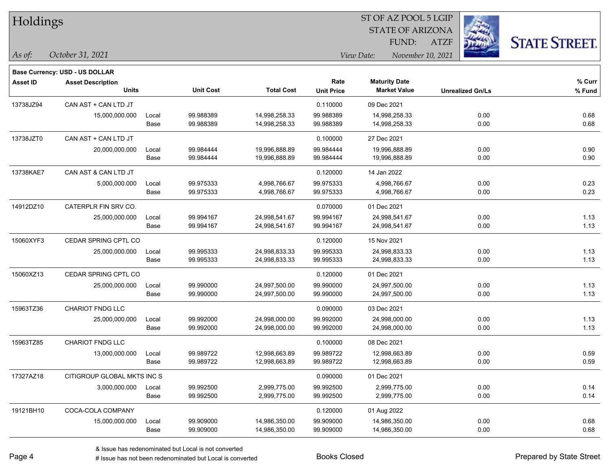| Holdings        |                                       |       |                  |                   | ST OF AZ POOL 5 LGIP |                                 |                         |                      |  |  |
|-----------------|---------------------------------------|-------|------------------|-------------------|----------------------|---------------------------------|-------------------------|----------------------|--|--|
|                 |                                       |       |                  |                   |                      | <b>STATE OF ARIZONA</b>         | i.                      |                      |  |  |
|                 |                                       |       |                  |                   |                      | FUND:                           | 瑙<br>ATZF               | <b>STATE STREET.</b> |  |  |
| As of:          | October 31, 2021                      |       |                  |                   |                      | View Date:<br>November 10, 2021 |                         |                      |  |  |
|                 | <b>Base Currency: USD - US DOLLAR</b> |       |                  |                   |                      |                                 |                         |                      |  |  |
| <b>Asset ID</b> | <b>Asset Description</b>              |       |                  |                   | Rate                 | <b>Maturity Date</b>            |                         | % Curr               |  |  |
|                 | <b>Units</b>                          |       | <b>Unit Cost</b> | <b>Total Cost</b> | <b>Unit Price</b>    | <b>Market Value</b>             | <b>Unrealized Gn/Ls</b> | % Fund               |  |  |
| 13738JZ94       | CAN AST + CAN LTD JT                  |       |                  |                   | 0.110000             | 09 Dec 2021                     |                         |                      |  |  |
|                 | 15,000,000.000                        | Local | 99.988389        | 14,998,258.33     | 99.988389            | 14,998,258.33                   | 0.00                    | 0.68                 |  |  |
|                 |                                       | Base  | 99.988389        | 14,998,258.33     | 99.988389            | 14,998,258.33                   | 0.00                    | 0.68                 |  |  |
| 13738JZT0       | CAN AST + CAN LTD JT                  |       |                  |                   | 0.100000             | 27 Dec 2021                     |                         |                      |  |  |
|                 | 20,000,000.000                        | Local | 99.984444        | 19,996,888.89     | 99.984444            | 19,996,888.89                   | 0.00                    | 0.90                 |  |  |
|                 |                                       | Base  | 99.984444        | 19,996,888.89     | 99.984444            | 19,996,888.89                   | 0.00                    | 0.90                 |  |  |
| 13738KAE7       | CAN AST & CAN LTD JT                  |       |                  |                   | 0.120000             | 14 Jan 2022                     |                         |                      |  |  |
|                 | 5,000,000.000                         | Local | 99.975333        | 4,998,766.67      | 99.975333            | 4,998,766.67                    | 0.00                    | 0.23                 |  |  |
|                 |                                       | Base  | 99.975333        | 4,998,766.67      | 99.975333            | 4,998,766.67                    | 0.00                    | 0.23                 |  |  |
| 14912DZ10       | CATERPLR FIN SRV CO.                  |       |                  |                   | 0.070000             | 01 Dec 2021                     |                         |                      |  |  |
|                 | 25,000,000.000                        | Local | 99.994167        | 24,998,541.67     | 99.994167            | 24,998,541.67                   | 0.00                    | 1.13                 |  |  |
|                 |                                       | Base  | 99.994167        | 24,998,541.67     | 99.994167            | 24,998,541.67                   | 0.00                    | 1.13                 |  |  |
| 15060XYF3       | CEDAR SPRING CPTL CO                  |       |                  |                   | 0.120000             | 15 Nov 2021                     |                         |                      |  |  |
|                 | 25,000,000.000                        | Local | 99.995333        | 24,998,833.33     | 99.995333            | 24,998,833.33                   | 0.00                    | 1.13                 |  |  |
|                 |                                       | Base  | 99.995333        | 24,998,833.33     | 99.995333            | 24,998,833.33                   | 0.00                    | 1.13                 |  |  |
| 15060XZ13       | CEDAR SPRING CPTL CO                  |       |                  |                   | 0.120000             | 01 Dec 2021                     |                         |                      |  |  |
|                 | 25,000,000.000                        | Local | 99.990000        | 24,997,500.00     | 99.990000            | 24,997,500.00                   | 0.00                    | 1.13                 |  |  |
|                 |                                       | Base  | 99.990000        | 24,997,500.00     | 99.990000            | 24,997,500.00                   | 0.00                    | 1.13                 |  |  |
| 15963TZ36       | <b>CHARIOT FNDG LLC</b>               |       |                  |                   | 0.090000             | 03 Dec 2021                     |                         |                      |  |  |
|                 | 25,000,000.000                        | Local | 99.992000        | 24,998,000.00     | 99.992000            | 24,998,000.00                   | 0.00                    | 1.13                 |  |  |
|                 |                                       | Base  | 99.992000        | 24,998,000.00     | 99.992000            | 24,998,000.00                   | 0.00                    | 1.13                 |  |  |
| 15963TZ85       | <b>CHARIOT FNDG LLC</b>               |       |                  |                   | 0.100000             | 08 Dec 2021                     |                         |                      |  |  |
|                 | 13,000,000.000                        | Local | 99.989722        | 12,998,663.89     | 99.989722            | 12,998,663.89                   | 0.00                    | 0.59                 |  |  |
|                 |                                       | Base  | 99.989722        | 12,998,663.89     | 99.989722            | 12,998,663.89                   | $0.00\,$                | 0.59                 |  |  |
| 17327AZ18       | CITIGROUP GLOBAL MKTS INC S           |       |                  |                   | 0.090000             | 01 Dec 2021                     |                         |                      |  |  |
|                 | 3,000,000.000                         | Local | 99.992500        | 2,999,775.00      | 99.992500            | 2,999,775.00                    | 0.00                    | 0.14                 |  |  |
|                 |                                       | Base  | 99.992500        | 2,999,775.00      | 99.992500            | 2,999,775.00                    | 0.00                    | 0.14                 |  |  |
| 19121BH10       | COCA-COLA COMPANY                     |       |                  |                   | 0.120000             | 01 Aug 2022                     |                         |                      |  |  |
|                 | 15,000,000.000                        | Local | 99.909000        | 14,986,350.00     | 99.909000            | 14,986,350.00                   | 0.00                    | 0.68                 |  |  |
|                 |                                       | Base  | 99.909000        | 14,986,350.00     | 99.909000            | 14,986,350.00                   | 0.00                    | 0.68                 |  |  |

ST OF AZ POOL 5 LGIP

 $\overline{\phantom{0}}$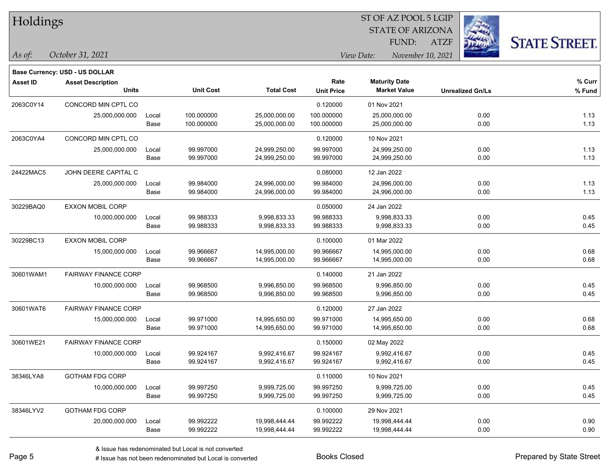| Holdings |
|----------|
|          |

### STATE OF ARIZONA ATZF ST OF AZ POOL 5 LGIP FUND:



|                 | <b>Base Currency: USD - US DOLLAR</b> |       |                  |                   |                   |                      |                         |        |
|-----------------|---------------------------------------|-------|------------------|-------------------|-------------------|----------------------|-------------------------|--------|
| <b>Asset ID</b> | <b>Asset Description</b>              |       |                  |                   | Rate              | <b>Maturity Date</b> |                         | % Curr |
|                 | <b>Units</b>                          |       | <b>Unit Cost</b> | <b>Total Cost</b> | <b>Unit Price</b> | <b>Market Value</b>  | <b>Unrealized Gn/Ls</b> | % Fund |
| 2063C0Y14       | CONCORD MIN CPTL CO                   |       |                  |                   | 0.120000          | 01 Nov 2021          |                         |        |
|                 | 25,000,000.000                        | Local | 100.000000       | 25,000,000.00     | 100.000000        | 25,000,000.00        | 0.00                    | 1.13   |
|                 |                                       | Base  | 100.000000       | 25,000,000.00     | 100.000000        | 25,000,000.00        | 0.00                    | 1.13   |
| 2063C0YA4       | CONCORD MIN CPTL CO                   |       |                  |                   | 0.120000          | 10 Nov 2021          |                         |        |
|                 | 25,000,000.000                        | Local | 99.997000        | 24,999,250.00     | 99.997000         | 24,999,250.00        | 0.00                    | 1.13   |
|                 |                                       | Base  | 99.997000        | 24,999,250.00     | 99.997000         | 24,999,250.00        | 0.00                    | 1.13   |
| 24422MAC5       | JOHN DEERE CAPITAL C                  |       |                  |                   | 0.080000          | 12 Jan 2022          |                         |        |
|                 | 25,000,000.000                        | Local | 99.984000        | 24,996,000.00     | 99.984000         | 24,996,000.00        | 0.00                    | 1.13   |
|                 |                                       | Base  | 99.984000        | 24,996,000.00     | 99.984000         | 24,996,000.00        | 0.00                    | 1.13   |
| 30229BAQ0       | <b>EXXON MOBIL CORP</b>               |       |                  |                   | 0.050000          | 24 Jan 2022          |                         |        |
|                 | 10,000,000.000                        | Local | 99.988333        | 9,998,833.33      | 99.988333         | 9,998,833.33         | 0.00                    | 0.45   |
|                 |                                       | Base  | 99.988333        | 9,998,833.33      | 99.988333         | 9,998,833.33         | 0.00                    | 0.45   |
| 30229BC13       | <b>EXXON MOBIL CORP</b>               |       |                  |                   | 0.100000          | 01 Mar 2022          |                         |        |
|                 | 15,000,000.000                        | Local | 99.966667        | 14,995,000.00     | 99.966667         | 14,995,000.00        | 0.00                    | 0.68   |
|                 |                                       | Base  | 99.966667        | 14,995,000.00     | 99.966667         | 14,995,000.00        | 0.00                    | 0.68   |
| 30601WAM1       | <b>FAIRWAY FINANCE CORP</b>           |       |                  |                   | 0.140000          | 21 Jan 2022          |                         |        |
|                 | 10,000,000.000                        | Local | 99.968500        | 9,996,850.00      | 99.968500         | 9,996,850.00         | 0.00                    | 0.45   |
|                 |                                       | Base  | 99.968500        | 9,996,850.00      | 99.968500         | 9,996,850.00         | 0.00                    | 0.45   |
| 30601WAT6       | <b>FAIRWAY FINANCE CORP</b>           |       |                  |                   | 0.120000          | 27 Jan 2022          |                         |        |
|                 | 15,000,000.000                        | Local | 99.971000        | 14,995,650.00     | 99.971000         | 14,995,650.00        | 0.00                    | 0.68   |
|                 |                                       | Base  | 99.971000        | 14,995,650.00     | 99.971000         | 14,995,650.00        | 0.00                    | 0.68   |
| 30601WE21       | <b>FAIRWAY FINANCE CORP</b>           |       |                  |                   | 0.150000          | 02 May 2022          |                         |        |
|                 | 10,000,000.000                        | Local | 99.924167        | 9,992,416.67      | 99.924167         | 9,992,416.67         | 0.00                    | 0.45   |
|                 |                                       | Base  | 99.924167        | 9,992,416.67      | 99.924167         | 9,992,416.67         | 0.00                    | 0.45   |
| 38346LYA8       | <b>GOTHAM FDG CORP</b>                |       |                  |                   | 0.110000          | 10 Nov 2021          |                         |        |
|                 | 10,000,000.000                        | Local | 99.997250        | 9,999,725.00      | 99.997250         | 9,999,725.00         | 0.00                    | 0.45   |
|                 |                                       | Base  | 99.997250        | 9,999,725.00      | 99.997250         | 9,999,725.00         | 0.00                    | 0.45   |
| 38346LYV2       | <b>GOTHAM FDG CORP</b>                |       |                  |                   | 0.100000          | 29 Nov 2021          |                         |        |
|                 | 20,000,000.000                        | Local | 99.992222        | 19,998,444.44     | 99.992222         | 19,998,444.44        | 0.00                    | 0.90   |
|                 |                                       | Base  | 99.992222        | 19,998,444.44     | 99.992222         | 19,998,444.44        | 0.00                    | 0.90   |
|                 |                                       |       |                  |                   |                   |                      |                         |        |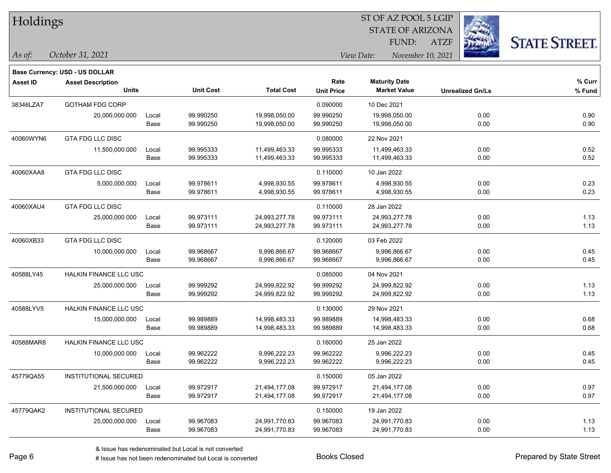| Holdings |
|----------|
|          |

**Base Currency: USD - US DOLLAR**

### STATE OF ARIZONA ATZF ST OF AZ POOL 5 LGIP FUND:



| <b>Asset ID</b> | <b>Asset Description</b><br><b>Units</b> |       | <b>Unit Cost</b> | <b>Total Cost</b> | Rate<br><b>Unit Price</b> | <b>Maturity Date</b><br><b>Market Value</b> | <b>Unrealized Gn/Ls</b> | % Curr<br>% Fund |
|-----------------|------------------------------------------|-------|------------------|-------------------|---------------------------|---------------------------------------------|-------------------------|------------------|
| 38346LZA7       | <b>GOTHAM FDG CORP</b>                   |       |                  |                   | 0.090000                  | 10 Dec 2021                                 |                         |                  |
|                 | 20,000,000.000                           | Local | 99.990250        | 19,998,050.00     | 99.990250                 | 19,998,050.00                               | 0.00                    | 0.90             |
|                 |                                          | Base  | 99.990250        | 19,998,050.00     | 99.990250                 | 19,998,050.00                               | 0.00                    | 0.90             |
| 40060WYN6       | <b>GTA FDG LLC DISC</b>                  |       |                  |                   | 0.080000                  | 22 Nov 2021                                 |                         |                  |
|                 | 11,500,000.000                           | Local | 99.995333        | 11,499,463.33     | 99.995333                 | 11,499,463.33                               | 0.00                    | 0.52             |
|                 |                                          | Base  | 99.995333        | 11,499,463.33     | 99.995333                 | 11,499,463.33                               | 0.00                    | 0.52             |
| 40060XAA8       | <b>GTA FDG LLC DISC</b>                  |       |                  |                   | 0.110000                  | 10 Jan 2022                                 |                         |                  |
|                 | 5,000,000.000                            | Local | 99.978611        | 4,998,930.55      | 99.978611                 | 4,998,930.55                                | 0.00                    | 0.23             |
|                 |                                          | Base  | 99.978611        | 4,998,930.55      | 99.978611                 | 4,998,930.55                                | 0.00                    | 0.23             |
| 40060XAU4       | <b>GTA FDG LLC DISC</b>                  |       |                  |                   | 0.110000                  | 28 Jan 2022                                 |                         |                  |
|                 | 25,000,000.000                           | Local | 99.973111        | 24,993,277.78     | 99.973111                 | 24,993,277.78                               | 0.00                    | 1.13             |
|                 |                                          | Base  | 99.973111        | 24,993,277.78     | 99.973111                 | 24,993,277.78                               | 0.00                    | 1.13             |
| 40060XB33       | <b>GTA FDG LLC DISC</b>                  |       |                  |                   | 0.120000                  | 03 Feb 2022                                 |                         |                  |
|                 | 10,000,000.000                           | Local | 99.968667        | 9,996,866.67      | 99.968667                 | 9,996,866.67                                | 0.00                    | 0.45             |
|                 |                                          | Base  | 99.968667        | 9,996,866.67      | 99.968667                 | 9,996,866.67                                | 0.00                    | 0.45             |
| 40588LY45       | <b>HALKIN FINANCE LLC USC</b>            |       |                  |                   | 0.085000                  | 04 Nov 2021                                 |                         |                  |
|                 | 25,000,000.000                           | Local | 99.999292        | 24,999,822.92     | 99.999292                 | 24,999,822.92                               | 0.00                    | 1.13             |
|                 |                                          | Base  | 99.999292        | 24,999,822.92     | 99.999292                 | 24,999,822.92                               | 0.00                    | 1.13             |
| 40588LYV5       | HALKIN FINANCE LLC USC                   |       |                  |                   | 0.130000                  | 29 Nov 2021                                 |                         |                  |
|                 | 15,000,000.000                           | Local | 99.989889        | 14,998,483.33     | 99.989889                 | 14,998,483.33                               | 0.00                    | 0.68             |
|                 |                                          | Base  | 99.989889        | 14,998,483.33     | 99.989889                 | 14,998,483.33                               | 0.00                    | 0.68             |
| 40588MAR8       | HALKIN FINANCE LLC USC                   |       |                  |                   | 0.160000                  | 25 Jan 2022                                 |                         |                  |
|                 | 10,000,000.000                           | Local | 99.962222        | 9,996,222.23      | 99.962222                 | 9,996,222.23                                | 0.00                    | 0.45             |
|                 |                                          | Base  | 99.962222        | 9,996,222.23      | 99.962222                 | 9,996,222.23                                | 0.00                    | 0.45             |
| 45779QA55       | <b>INSTITUTIONAL SECURED</b>             |       |                  |                   | 0.150000                  | 05 Jan 2022                                 |                         |                  |
|                 | 21,500,000.000                           | Local | 99.972917        | 21,494,177.08     | 99.972917                 | 21,494,177.08                               | 0.00                    | 0.97             |
|                 |                                          | Base  | 99.972917        | 21,494,177.08     | 99.972917                 | 21,494,177.08                               | 0.00                    | 0.97             |
| 45779QAK2       | <b>INSTITUTIONAL SECURED</b>             |       |                  |                   | 0.150000                  | 19 Jan 2022                                 |                         |                  |
|                 | 25,000,000.000                           | Local | 99.967083        | 24,991,770.83     | 99.967083                 | 24,991,770.83                               | 0.00                    | 1.13             |
|                 |                                          | Base  | 99.967083        | 24,991,770.83     | 99.967083                 | 24,991,770.83                               | 0.00                    | 1.13             |
|                 |                                          |       |                  |                   |                           |                                             |                         |                  |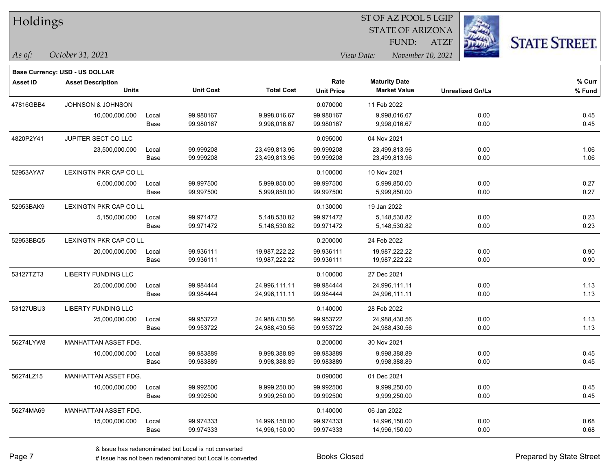**Base Currency: USD - US DOLLAR**

STATE OF ARIZONA ATZF ST OF AZ POOL 5 LGIP FUND:



| <b>Asset ID</b> | <b>Asset Description</b>     |       |                  |                   | Rate              | <b>Maturity Date</b> |                         | % Curr |
|-----------------|------------------------------|-------|------------------|-------------------|-------------------|----------------------|-------------------------|--------|
|                 | <b>Units</b>                 |       | <b>Unit Cost</b> | <b>Total Cost</b> | <b>Unit Price</b> | <b>Market Value</b>  | <b>Unrealized Gn/Ls</b> | % Fund |
| 47816GBB4       | <b>JOHNSON &amp; JOHNSON</b> |       |                  |                   | 0.070000          | 11 Feb 2022          |                         |        |
|                 | 10,000,000.000               | Local | 99.980167        | 9,998,016.67      | 99.980167         | 9,998,016.67         | 0.00                    | 0.45   |
|                 |                              | Base  | 99.980167        | 9,998,016.67      | 99.980167         | 9,998,016.67         | 0.00                    | 0.45   |
| 4820P2Y41       | JUPITER SECT CO LLC          |       |                  |                   | 0.095000          | 04 Nov 2021          |                         |        |
|                 | 23,500,000.000               | Local | 99.999208        | 23,499,813.96     | 99.999208         | 23,499,813.96        | 0.00                    | 1.06   |
|                 |                              | Base  | 99.999208        | 23,499,813.96     | 99.999208         | 23,499,813.96        | 0.00                    | 1.06   |
| 52953AYA7       | LEXINGTN PKR CAP CO LL       |       |                  |                   | 0.100000          | 10 Nov 2021          |                         |        |
|                 | 6,000,000.000                | Local | 99.997500        | 5,999,850.00      | 99.997500         | 5,999,850.00         | 0.00                    | 0.27   |
|                 |                              | Base  | 99.997500        | 5,999,850.00      | 99.997500         | 5,999,850.00         | 0.00                    | 0.27   |
| 52953BAK9       | LEXINGTN PKR CAP CO LL       |       |                  |                   | 0.130000          | 19 Jan 2022          |                         |        |
|                 | 5,150,000.000                | Local | 99.971472        | 5,148,530.82      | 99.971472         | 5,148,530.82         | 0.00                    | 0.23   |
|                 |                              | Base  | 99.971472        | 5,148,530.82      | 99.971472         | 5,148,530.82         | 0.00                    | 0.23   |
| 52953BBQ5       | LEXINGTN PKR CAP CO LL       |       |                  |                   | 0.200000          | 24 Feb 2022          |                         |        |
|                 | 20,000,000.000               | Local | 99.936111        | 19,987,222.22     | 99.936111         | 19,987,222.22        | 0.00                    | 0.90   |
|                 |                              | Base  | 99.936111        | 19,987,222.22     | 99.936111         | 19,987,222.22        | 0.00                    | 0.90   |
| 53127TZT3       | <b>LIBERTY FUNDING LLC</b>   |       |                  |                   | 0.100000          | 27 Dec 2021          |                         |        |
|                 | 25,000,000.000               | Local | 99.984444        | 24,996,111.11     | 99.984444         | 24,996,111.11        | 0.00                    | 1.13   |
|                 |                              | Base  | 99.984444        | 24,996,111.11     | 99.984444         | 24,996,111.11        | 0.00                    | 1.13   |
| 53127UBU3       | <b>LIBERTY FUNDING LLC</b>   |       |                  |                   | 0.140000          | 28 Feb 2022          |                         |        |
|                 | 25,000,000.000               | Local | 99.953722        | 24,988,430.56     | 99.953722         | 24,988,430.56        | 0.00                    | 1.13   |
|                 |                              | Base  | 99.953722        | 24,988,430.56     | 99.953722         | 24,988,430.56        | 0.00                    | 1.13   |
| 56274LYW8       | MANHATTAN ASSET FDG.         |       |                  |                   | 0.200000          | 30 Nov 2021          |                         |        |
|                 | 10,000,000.000               | Local | 99.983889        | 9,998,388.89      | 99.983889         | 9,998,388.89         | 0.00                    | 0.45   |
|                 |                              | Base  | 99.983889        | 9,998,388.89      | 99.983889         | 9,998,388.89         | 0.00                    | 0.45   |
| 56274LZ15       | MANHATTAN ASSET FDG.         |       |                  |                   | 0.090000          | 01 Dec 2021          |                         |        |
|                 | 10,000,000.000               | Local | 99.992500        | 9,999,250.00      | 99.992500         | 9,999,250.00         | 0.00                    | 0.45   |
|                 |                              | Base  | 99.992500        | 9,999,250.00      | 99.992500         | 9,999,250.00         | 0.00                    | 0.45   |
| 56274MA69       | MANHATTAN ASSET FDG.         |       |                  |                   | 0.140000          | 06 Jan 2022          |                         |        |
|                 | 15,000,000.000               | Local | 99.974333        | 14,996,150.00     | 99.974333         | 14,996,150.00        | 0.00                    | 0.68   |
|                 |                              | Base  | 99.974333        | 14,996,150.00     | 99.974333         | 14,996,150.00        | 0.00                    | 0.68   |
|                 |                              |       |                  |                   |                   |                      |                         |        |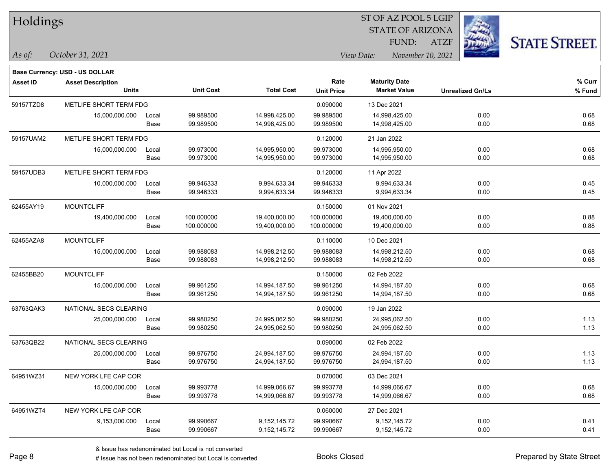| Holdings |  |
|----------|--|
|----------|--|

**Base Currency: USD - US DOLLAR**

### STATE OF ARIZONA ATZF ST OF AZ POOL 5 LGIP FUND:



| <b>Asset ID</b> | <b>Asset Description</b> |                    |                  |                   | Rate              | <b>Maturity Date</b> |                         | % Curr |
|-----------------|--------------------------|--------------------|------------------|-------------------|-------------------|----------------------|-------------------------|--------|
|                 | <b>Units</b>             |                    | <b>Unit Cost</b> | <b>Total Cost</b> | <b>Unit Price</b> | <b>Market Value</b>  | <b>Unrealized Gn/Ls</b> | % Fund |
| 59157TZD8       | METLIFE SHORT TERM FDG   |                    |                  |                   | 0.090000          | 13 Dec 2021          |                         |        |
|                 | 15,000,000.000           | 99.989500<br>Local |                  | 14,998,425.00     | 99.989500         | 14,998,425.00        | 0.00                    | 0.68   |
|                 |                          | Base               | 99.989500        | 14,998,425.00     | 99.989500         | 14,998,425.00        | 0.00                    | 0.68   |
| 59157UAM2       | METLIFE SHORT TERM FDG   |                    |                  |                   | 0.120000          | 21 Jan 2022          |                         |        |
|                 | 15,000,000.000           | Local              | 99.973000        | 14,995,950.00     | 99.973000         | 14,995,950.00        | 0.00                    | 0.68   |
|                 |                          | Base               | 99.973000        | 14,995,950.00     | 99.973000         | 14,995,950.00        | 0.00                    | 0.68   |
| 59157UDB3       | METLIFE SHORT TERM FDG   |                    |                  |                   | 0.120000          | 11 Apr 2022          |                         |        |
|                 | 10,000,000.000           | Local              | 99.946333        | 9,994,633.34      | 99.946333         | 9,994,633.34         | 0.00                    | 0.45   |
|                 |                          | Base               | 99.946333        | 9,994,633.34      | 99.946333         | 9,994,633.34         | 0.00                    | 0.45   |
| 62455AY19       | <b>MOUNTCLIFF</b>        |                    |                  |                   | 0.150000          | 01 Nov 2021          |                         |        |
|                 | 19,400,000.000           | Local              | 100.000000       | 19,400,000.00     | 100.000000        | 19,400,000.00        | 0.00                    | 0.88   |
|                 |                          | Base               | 100.000000       | 19,400,000.00     | 100.000000        | 19,400,000.00        | 0.00                    | 0.88   |
| 62455AZA8       | <b>MOUNTCLIFF</b>        |                    |                  |                   | 0.110000          | 10 Dec 2021          |                         |        |
|                 | 15,000,000.000           | Local              | 99.988083        | 14,998,212.50     | 99.988083         | 14,998,212.50        | 0.00                    | 0.68   |
|                 |                          | Base               | 99.988083        | 14,998,212.50     | 99.988083         | 14,998,212.50        | 0.00                    | 0.68   |
| 62455BB20       | <b>MOUNTCLIFF</b>        |                    |                  |                   | 0.150000          | 02 Feb 2022          |                         |        |
|                 | 15,000,000.000           | Local              | 99.961250        | 14,994,187.50     | 99.961250         | 14,994,187.50        | 0.00                    | 0.68   |
|                 |                          | Base               | 99.961250        | 14,994,187.50     | 99.961250         | 14,994,187.50        | 0.00                    | 0.68   |
| 63763QAK3       | NATIONAL SECS CLEARING   |                    |                  |                   | 0.090000          | 19 Jan 2022          |                         |        |
|                 | 25,000,000.000           | Local              | 99.980250        | 24,995,062.50     | 99.980250         | 24,995,062.50        | 0.00                    | 1.13   |
|                 |                          | Base               | 99.980250        | 24,995,062.50     | 99.980250         | 24,995,062.50        | 0.00                    | 1.13   |
| 63763QB22       | NATIONAL SECS CLEARING   |                    |                  |                   | 0.090000          | 02 Feb 2022          |                         |        |
|                 | 25,000,000.000           | Local              | 99.976750        | 24,994,187.50     | 99.976750         | 24,994,187.50        | 0.00                    | 1.13   |
|                 |                          | Base               | 99.976750        | 24,994,187.50     | 99.976750         | 24,994,187.50        | 0.00                    | 1.13   |
| 64951WZ31       | NEW YORK LFE CAP COR     |                    |                  |                   | 0.070000          | 03 Dec 2021          |                         |        |
|                 | 15,000,000.000           | Local              | 99.993778        | 14,999,066.67     | 99.993778         | 14,999,066.67        | 0.00                    | 0.68   |
|                 |                          | Base               | 99.993778        | 14,999,066.67     | 99.993778         | 14,999,066.67        | 0.00                    | 0.68   |
| 64951WZT4       | NEW YORK LFE CAP COR     |                    |                  |                   | 0.060000          | 27 Dec 2021          |                         |        |
|                 | 9,153,000.000            | Local              | 99.990667        | 9,152,145.72      | 99.990667         | 9,152,145.72         | 0.00                    | 0.41   |
|                 |                          | Base               | 99.990667        | 9,152,145.72      | 99.990667         | 9,152,145.72         | 0.00                    | 0.41   |
|                 |                          |                    |                  |                   |                   |                      |                         |        |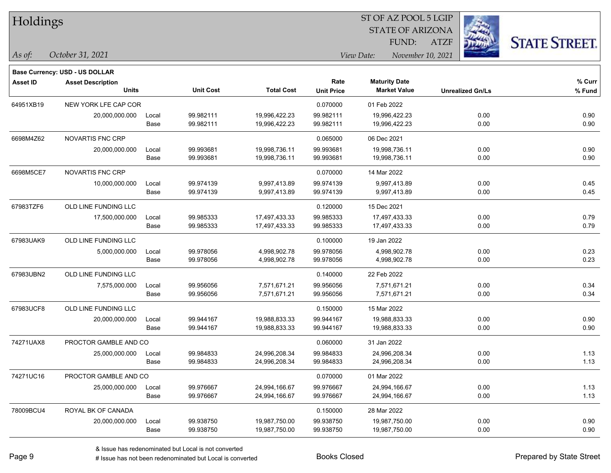| Holdings        |                                          |               |                        |                                |                           | ST OF AZ POOL 5 LGIP<br><b>STATE OF ARIZONA</b> |                         |                      |
|-----------------|------------------------------------------|---------------|------------------------|--------------------------------|---------------------------|-------------------------------------------------|-------------------------|----------------------|
|                 |                                          |               |                        |                                |                           | FUND:                                           | <b>ATZF</b>             | <b>STATE STREET.</b> |
| As of:          | October 31, 2021                         |               |                        |                                |                           | View Date:<br>November 10, 2021                 |                         |                      |
|                 | <b>Base Currency: USD - US DOLLAR</b>    |               |                        |                                |                           |                                                 |                         |                      |
| <b>Asset ID</b> | <b>Asset Description</b><br><b>Units</b> |               | <b>Unit Cost</b>       | <b>Total Cost</b>              | Rate<br><b>Unit Price</b> | <b>Maturity Date</b><br><b>Market Value</b>     | <b>Unrealized Gn/Ls</b> | % Curr<br>% Fund     |
| 64951XB19       | NEW YORK LFE CAP COR                     |               |                        |                                | 0.070000                  | 01 Feb 2022                                     |                         |                      |
|                 | 20,000,000.000                           | Local<br>Base | 99.982111<br>99.982111 | 19,996,422.23<br>19,996,422.23 | 99.982111<br>99.982111    | 19,996,422.23<br>19,996,422.23                  | 0.00<br>0.00            | 0.90<br>0.90         |
| 6698M4Z62       | NOVARTIS FNC CRP                         |               |                        |                                | 0.065000                  | 06 Dec 2021                                     |                         |                      |
|                 | 20,000,000.000                           | Local<br>Base | 99.993681<br>99.993681 | 19,998,736.11<br>19,998,736.11 | 99.993681<br>99.993681    | 19,998,736.11<br>19,998,736.11                  | 0.00<br>0.00            | 0.90<br>0.90         |
| 6698M5CE7       | NOVARTIS FNC CRP                         |               |                        |                                | 0.070000                  | 14 Mar 2022                                     |                         |                      |
|                 | 10,000,000.000                           | Local<br>Base | 99.974139<br>99.974139 | 9,997,413.89<br>9,997,413.89   | 99.974139<br>99.974139    | 9,997,413.89<br>9,997,413.89                    | 0.00<br>0.00            | 0.45<br>0.45         |
| 67983TZF6       | OLD LINE FUNDING LLC                     |               |                        |                                | 0.120000                  | 15 Dec 2021                                     |                         |                      |
|                 | 17,500,000.000                           | Local<br>Base | 99.985333<br>99.985333 | 17,497,433.33<br>17,497,433.33 | 99.985333<br>99.985333    | 17,497,433.33<br>17,497,433.33                  | 0.00<br>0.00            | 0.79<br>0.79         |
| 67983UAK9       | OLD LINE FUNDING LLC                     |               |                        |                                | 0.100000                  | 19 Jan 2022                                     |                         |                      |
|                 | 5,000,000.000                            | Local<br>Base | 99.978056<br>99.978056 | 4,998,902.78<br>4,998,902.78   | 99.978056<br>99.978056    | 4,998,902.78<br>4,998,902.78                    | 0.00<br>0.00            | 0.23<br>0.23         |
| 67983UBN2       | OLD LINE FUNDING LLC                     |               |                        |                                | 0.140000                  | 22 Feb 2022                                     |                         |                      |
|                 | 7,575,000.000                            | Local<br>Base | 99.956056<br>99.956056 | 7,571,671.21<br>7,571,671.21   | 99.956056<br>99.956056    | 7,571,671.21<br>7,571,671.21                    | 0.00<br>0.00            | 0.34<br>0.34         |
| 67983UCF8       | OLD LINE FUNDING LLC                     |               |                        |                                | 0.150000                  | 15 Mar 2022                                     |                         |                      |
|                 | 20,000,000.000                           | Local<br>Base | 99.944167<br>99.944167 | 19,988,833.33<br>19,988,833.33 | 99.944167<br>99.944167    | 19,988,833.33<br>19,988,833.33                  | 0.00<br>0.00            | 0.90<br>0.90         |
| 74271UAX8       | PROCTOR GAMBLE AND CO                    |               |                        |                                | 0.060000                  | 31 Jan 2022                                     |                         |                      |
|                 | 25,000,000.000                           | Local<br>Base | 99.984833<br>99.984833 | 24,996,208.34<br>24,996,208.34 | 99.984833<br>99.984833    | 24,996,208.34<br>24,996,208.34                  | 0.00<br>0.00            | 1.13<br>1.13         |
| 74271UC16       | PROCTOR GAMBLE AND CO                    |               |                        |                                | 0.070000                  | 01 Mar 2022                                     |                         |                      |
|                 | 25,000,000.000                           | Local<br>Base | 99.976667<br>99.976667 | 24,994,166.67<br>24,994,166.67 | 99.976667<br>99.976667    | 24,994,166.67<br>24,994,166.67                  | 0.00<br>0.00            | 1.13<br>1.13         |
| 78009BCU4       | ROYAL BK OF CANADA                       |               |                        |                                | 0.150000                  | 28 Mar 2022                                     |                         |                      |
|                 | 20,000,000.000                           | Local<br>Base | 99.938750<br>99.938750 | 19,987,750.00<br>19,987,750.00 | 99.938750<br>99.938750    | 19,987,750.00<br>19,987,750.00                  | 0.00<br>0.00            | 0.90<br>0.90         |

ST OF AZ POOL 5 LGIP

 $\overline{\phantom{a}}$ 

 $\overline{\phantom{a}}$ 

 $\overline{\phantom{0}}$ 

 $\overline{\phantom{a}}$ 

 $\overline{a}$ 

 $\overline{\phantom{a}}$ 

 $\overline{a}$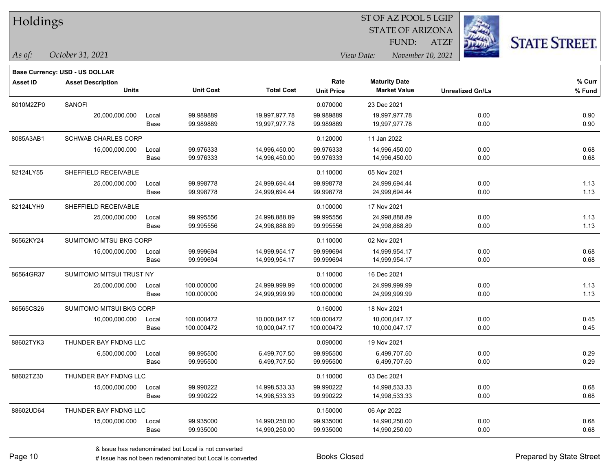| Holdings |
|----------|
|          |

### STATE OF ARIZONA ATZF ST OF AZ POOL 5 LGIP FUND:



*October 31, 2021 As of: View Date: November 10, 2021*

|                 | <b>Base Currency: USD - US DOLLAR</b> |       |                  |                   |                   |                      |                         |        |
|-----------------|---------------------------------------|-------|------------------|-------------------|-------------------|----------------------|-------------------------|--------|
| <b>Asset ID</b> | <b>Asset Description</b>              |       |                  |                   | Rate              | <b>Maturity Date</b> |                         | % Curr |
|                 | <b>Units</b>                          |       | <b>Unit Cost</b> | <b>Total Cost</b> | <b>Unit Price</b> | <b>Market Value</b>  | <b>Unrealized Gn/Ls</b> | % Fund |
| 8010M2ZP0       | <b>SANOFI</b>                         |       |                  |                   | 0.070000          | 23 Dec 2021          |                         |        |
|                 | 20,000,000.000                        | Local | 99.989889        | 19,997,977.78     | 99.989889         | 19,997,977.78        | 0.00                    | 0.90   |
|                 |                                       | Base  | 99.989889        | 19,997,977.78     | 99.989889         | 19,997,977.78        | 0.00                    | 0.90   |
| 8085A3AB1       | <b>SCHWAB CHARLES CORP</b>            |       |                  |                   | 0.120000          | 11 Jan 2022          |                         |        |
|                 | 15,000,000.000                        | Local | 99.976333        | 14,996,450.00     | 99.976333         | 14,996,450.00        | 0.00                    | 0.68   |
|                 |                                       | Base  | 99.976333        | 14,996,450.00     | 99.976333         | 14,996,450.00        | 0.00                    | 0.68   |
| 82124LY55       | SHEFFIELD RECEIVABLE                  |       |                  |                   | 0.110000          | 05 Nov 2021          |                         |        |
|                 | 25,000,000.000                        | Local | 99.998778        | 24,999,694.44     | 99.998778         | 24,999,694.44        | 0.00                    | 1.13   |
|                 |                                       | Base  | 99.998778        | 24,999,694.44     | 99.998778         | 24,999,694.44        | 0.00                    | 1.13   |
| 82124LYH9       | SHEFFIELD RECEIVABLE                  |       |                  |                   | 0.100000          | 17 Nov 2021          |                         |        |
|                 | 25,000,000.000                        | Local | 99.995556        | 24,998,888.89     | 99.995556         | 24,998,888.89        | 0.00                    | 1.13   |
|                 |                                       | Base  | 99.995556        | 24,998,888.89     | 99.995556         | 24,998,888.89        | 0.00                    | 1.13   |
| 86562KY24       | SUMITOMO MTSU BKG CORP                |       |                  |                   | 0.110000          | 02 Nov 2021          |                         |        |
|                 | 15,000,000.000                        | Local | 99.999694        | 14,999,954.17     | 99.999694         | 14,999,954.17        | 0.00                    | 0.68   |
|                 |                                       | Base  | 99.999694        | 14,999,954.17     | 99.999694         | 14,999,954.17        | 0.00                    | 0.68   |
| 86564GR37       | SUMITOMO MITSUI TRUST NY              |       |                  |                   | 0.110000          | 16 Dec 2021          |                         |        |
|                 | 25,000,000.000                        | Local | 100.000000       | 24,999,999.99     | 100.000000        | 24,999,999.99        | 0.00                    | 1.13   |
|                 |                                       | Base  | 100.000000       | 24,999,999.99     | 100.000000        | 24,999,999.99        | 0.00                    | 1.13   |
| 86565CS26       | SUMITOMO MITSUI BKG CORP              |       |                  |                   | 0.160000          | 18 Nov 2021          |                         |        |
|                 | 10,000,000.000                        | Local | 100.000472       | 10,000,047.17     | 100.000472        | 10,000,047.17        | 0.00                    | 0.45   |
|                 |                                       | Base  | 100.000472       | 10,000,047.17     | 100.000472        | 10,000,047.17        | 0.00                    | 0.45   |
| 88602TYK3       | THUNDER BAY FNDNG LLC                 |       |                  |                   | 0.090000          | 19 Nov 2021          |                         |        |
|                 | 6,500,000.000                         | Local | 99.995500        | 6,499,707.50      | 99.995500         | 6,499,707.50         | 0.00                    | 0.29   |
|                 |                                       | Base  | 99.995500        | 6,499,707.50      | 99.995500         | 6,499,707.50         | 0.00                    | 0.29   |
| 88602TZ30       | THUNDER BAY FNDNG LLC                 |       |                  |                   | 0.110000          | 03 Dec 2021          |                         |        |
|                 | 15,000,000.000                        | Local | 99.990222        | 14,998,533.33     | 99.990222         | 14,998,533.33        | 0.00                    | 0.68   |
|                 |                                       | Base  | 99.990222        | 14,998,533.33     | 99.990222         | 14,998,533.33        | 0.00                    | 0.68   |
| 88602UD64       | THUNDER BAY FNDNG LLC                 |       |                  |                   | 0.150000          | 06 Apr 2022          |                         |        |
|                 | 15,000,000.000                        | Local | 99.935000        | 14,990,250.00     | 99.935000         | 14,990,250.00        | 0.00                    | 0.68   |
|                 |                                       | Base  | 99.935000        | 14,990,250.00     | 99.935000         | 14,990,250.00        | 0.00                    | 0.68   |
|                 |                                       |       |                  |                   |                   |                      |                         |        |

# Issue has not been redenominated but Local is converted Books Closed Prepared by State Street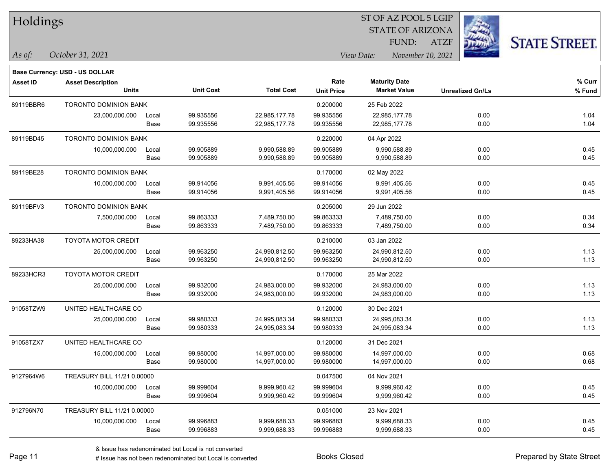| Holdings        |                                       |       |                  |                   |                   | 51 OF AZ POOL 5 LGIP |                         |             |                         |                      |
|-----------------|---------------------------------------|-------|------------------|-------------------|-------------------|----------------------|-------------------------|-------------|-------------------------|----------------------|
|                 |                                       |       |                  |                   |                   |                      | <b>STATE OF ARIZONA</b> |             |                         |                      |
|                 |                                       |       |                  |                   |                   |                      | FUND:                   | <b>ATZF</b> |                         | <b>STATE STREET.</b> |
| As of:          | October 31, 2021                      |       |                  |                   |                   | View Date:           | November 10, 2021       |             |                         |                      |
|                 | <b>Base Currency: USD - US DOLLAR</b> |       |                  |                   |                   |                      |                         |             |                         |                      |
| <b>Asset ID</b> | <b>Asset Description</b>              |       |                  |                   | Rate              | <b>Maturity Date</b> |                         |             |                         | % Curr               |
|                 | <b>Units</b>                          |       | <b>Unit Cost</b> | <b>Total Cost</b> | <b>Unit Price</b> | <b>Market Value</b>  |                         |             | <b>Unrealized Gn/Ls</b> | % Fund               |
| 89119BBR6       | TORONTO DOMINION BANK                 |       |                  |                   | 0.200000          | 25 Feb 2022          |                         |             |                         |                      |
|                 | 23,000,000.000                        | Local | 99.935556        | 22,985,177.78     | 99.935556         | 22,985,177.78        |                         |             | 0.00                    | 1.04                 |
|                 |                                       | Base  | 99.935556        | 22,985,177.78     | 99.935556         | 22,985,177.78        |                         |             | 0.00                    | 1.04                 |
| 89119BD45       | <b>TORONTO DOMINION BANK</b>          |       |                  |                   | 0.220000          | 04 Apr 2022          |                         |             |                         |                      |
|                 | 10,000,000.000                        | Local | 99.905889        | 9,990,588.89      | 99.905889         | 9,990,588.89         |                         |             | 0.00                    | 0.45                 |
|                 |                                       | Base  | 99.905889        | 9,990,588.89      | 99.905889         | 9,990,588.89         |                         |             | 0.00                    | 0.45                 |
| 89119BE28       | <b>TORONTO DOMINION BANK</b>          |       |                  |                   | 0.170000          | 02 May 2022          |                         |             |                         |                      |
|                 | 10,000,000.000                        | Local | 99.914056        | 9,991,405.56      | 99.914056         | 9,991,405.56         |                         |             | 0.00                    | 0.45                 |
|                 |                                       | Base  | 99.914056        | 9,991,405.56      | 99.914056         | 9,991,405.56         |                         |             | 0.00                    | 0.45                 |
| 89119BFV3       | <b>TORONTO DOMINION BANK</b>          |       |                  |                   | 0.205000          | 29 Jun 2022          |                         |             |                         |                      |
|                 | 7,500,000.000                         | Local | 99.863333        | 7,489,750.00      | 99.863333         | 7,489,750.00         |                         |             | 0.00                    | 0.34                 |
|                 |                                       | Base  | 99.863333        | 7,489,750.00      | 99.863333         | 7,489,750.00         |                         |             | 0.00                    | 0.34                 |
| 89233HA38       | <b>TOYOTA MOTOR CREDIT</b>            |       |                  |                   | 0.210000          | 03 Jan 2022          |                         |             |                         |                      |
|                 | 25,000,000.000                        | Local | 99.963250        | 24,990,812.50     | 99.963250         | 24,990,812.50        |                         |             | 0.00                    | 1.13                 |
|                 |                                       | Base  | 99.963250        | 24,990,812.50     | 99.963250         | 24,990,812.50        |                         |             | 0.00                    | 1.13                 |
| 89233HCR3       | <b>TOYOTA MOTOR CREDIT</b>            |       |                  |                   | 0.170000          | 25 Mar 2022          |                         |             |                         |                      |
|                 | 25,000,000.000                        | Local | 99.932000        | 24,983,000.00     | 99.932000         | 24,983,000.00        |                         |             | 0.00                    | 1.13                 |
|                 |                                       | Base  | 99.932000        | 24,983,000.00     | 99.932000         | 24,983,000.00        |                         |             | 0.00                    | 1.13                 |
| 91058TZW9       | UNITED HEALTHCARE CO                  |       |                  |                   | 0.120000          | 30 Dec 2021          |                         |             |                         |                      |
|                 | 25,000,000.000                        | Local | 99.980333        | 24,995,083.34     | 99.980333         | 24,995,083.34        |                         |             | 0.00                    | 1.13                 |
|                 |                                       | Base  | 99.980333        | 24,995,083.34     | 99.980333         | 24,995,083.34        |                         |             | 0.00                    | 1.13                 |
| 91058TZX7       | UNITED HEALTHCARE CO                  |       |                  |                   | 0.120000          | 31 Dec 2021          |                         |             |                         |                      |
|                 | 15,000,000.000                        | Local | 99.980000        | 14,997,000.00     | 99.980000         | 14,997,000.00        |                         |             | 0.00                    | 0.68                 |
|                 |                                       | Base  | 99.980000        | 14,997,000.00     | 99.980000         | 14,997,000.00        |                         |             | 0.00                    | 0.68                 |
| 9127964W6       | TREASURY BILL 11/21 0.00000           |       |                  |                   | 0.047500          | 04 Nov 2021          |                         |             |                         |                      |
|                 | 10,000,000.000                        | Local | 99.999604        | 9,999,960.42      | 99.999604         | 9,999,960.42         |                         |             | 0.00                    | 0.45                 |
|                 |                                       | Base  | 99.999604        | 9,999,960.42      | 99.999604         | 9,999,960.42         |                         |             | 0.00                    | 0.45                 |
| 912796N70       | TREASURY BILL 11/21 0.00000           |       |                  |                   | 0.051000          | 23 Nov 2021          |                         |             |                         |                      |
|                 | 10,000,000.000                        | Local | 99.996883        | 9,999,688.33      | 99.996883         | 9,999,688.33         |                         |             | 0.00                    | 0.45                 |
|                 |                                       | Base  | 99.996883        | 9,999,688.33      | 99.996883         | 9,999,688.33         |                         |             | 0.00                    | 0.45                 |

 $ST$  OF AZ POOL 5 LGIP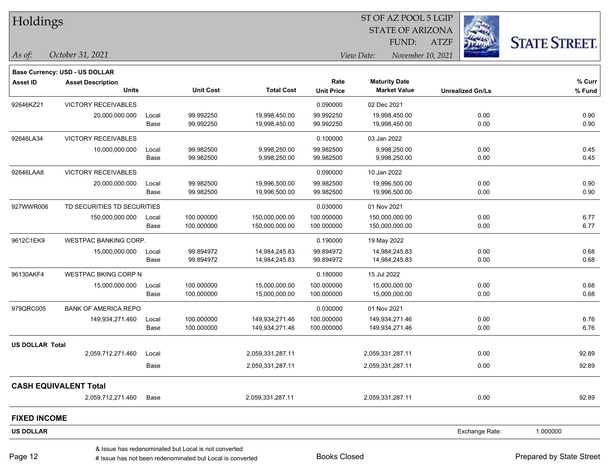| Holdings               |                                |       |                  |                   |                   | ST OF AZ POOL 5 LGIP            |                         |                      |
|------------------------|--------------------------------|-------|------------------|-------------------|-------------------|---------------------------------|-------------------------|----------------------|
|                        |                                |       |                  |                   |                   | <b>STATE OF ARIZONA</b>         | 243                     |                      |
|                        |                                |       |                  |                   |                   | FUND:                           | <b>ATZF</b>             | <b>STATE STREET.</b> |
| As of:                 | October 31, 2021               |       |                  |                   |                   | View Date:<br>November 10, 2021 |                         |                      |
|                        | Base Currency: USD - US DOLLAR |       |                  |                   |                   |                                 |                         |                      |
| <b>Asset ID</b>        | <b>Asset Description</b>       |       |                  |                   | Rate              | <b>Maturity Date</b>            |                         | % Curr               |
|                        | <b>Units</b>                   |       | <b>Unit Cost</b> | <b>Total Cost</b> | <b>Unit Price</b> | <b>Market Value</b>             | <b>Unrealized Gn/Ls</b> | % Fund               |
| 92646KZ21              | <b>VICTORY RECEIVABLES</b>     |       |                  |                   | 0.090000          | 02 Dec 2021                     |                         |                      |
|                        | 20,000,000.000                 | Local | 99.992250        | 19,998,450.00     | 99.992250         | 19,998,450.00                   | 0.00                    | 0.90                 |
|                        |                                | Base  | 99.992250        | 19,998,450.00     | 99.992250         | 19,998,450.00                   | 0.00                    | 0.90                 |
| 92646LA34              | <b>VICTORY RECEIVABLES</b>     |       |                  |                   | 0.100000          | 03 Jan 2022                     |                         |                      |
|                        | 10,000,000.000                 | Local | 99.982500        | 9,998,250.00      | 99.982500         | 9,998,250.00                    | 0.00                    | 0.45                 |
|                        |                                | Base  | 99.982500        | 9,998,250.00      | 99.982500         | 9,998,250.00                    | 0.00                    | 0.45                 |
| 92646LAA8              | <b>VICTORY RECEIVABLES</b>     |       |                  |                   | 0.090000          | 10 Jan 2022                     |                         |                      |
|                        | 20,000,000.000                 | Local | 99.982500        | 19,996,500.00     | 99.982500         | 19,996,500.00                   | 0.00                    | 0.90                 |
|                        |                                | Base  | 99.982500        | 19,996,500.00     | 99.982500         | 19,996,500.00                   | 0.00                    | 0.90                 |
| 927WWR006              | TD SECURITIES TD SECURITIES    |       |                  |                   | 0.030000          | 01 Nov 2021                     |                         |                      |
|                        | 150,000,000.000                | Local | 100.000000       | 150,000,000.00    | 100.000000        | 150,000,000.00                  | 0.00                    | 6.77                 |
|                        |                                | Base  | 100.000000       | 150,000,000.00    | 100.000000        | 150,000,000.00                  | 0.00                    | 6.77                 |
| 9612C1EK9              | WESTPAC BANKING CORP.          |       |                  |                   | 0.190000          | 19 May 2022                     |                         |                      |
|                        | 15,000,000.000                 | Local | 99.894972        | 14,984,245.83     | 99.894972         | 14,984,245.83                   | 0.00                    | 0.68                 |
|                        |                                | Base  | 99.894972        | 14,984,245.83     | 99.894972         | 14,984,245.83                   | 0.00                    | 0.68                 |
| 96130AKF4              | <b>WESTPAC BKING CORP N</b>    |       |                  |                   | 0.180000          | 15 Jul 2022                     |                         |                      |
|                        | 15,000,000.000                 | Local | 100.000000       | 15,000,000.00     | 100.000000        | 15,000,000.00                   | 0.00                    | 0.68                 |
|                        |                                | Base  | 100.000000       | 15,000,000.00     | 100.000000        | 15,000,000.00                   | 0.00                    | 0.68                 |
| 979QRC005              | <b>BANK OF AMERICA REPO</b>    |       |                  |                   | 0.030000          | 01 Nov 2021                     |                         |                      |
|                        | 149,934,271.460                | Local | 100.000000       | 149,934,271.46    | 100.000000        | 149,934,271.46                  | 0.00                    | 6.76                 |
|                        |                                | Base  | 100.000000       | 149,934,271.46    | 100.000000        | 149,934,271.46                  | 0.00                    | 6.76                 |
| <b>US DOLLAR Total</b> |                                |       |                  |                   |                   |                                 |                         |                      |
|                        | 2,059,712,271.460              | Local |                  | 2,059,331,287.11  |                   | 2,059,331,287.11                | 0.00                    | 92.89                |
|                        |                                | Base  |                  | 2,059,331,287.11  |                   | 2,059,331,287.11                | 0.00                    | 92.89                |
|                        | <b>CASH EQUIVALENT Total</b>   |       |                  |                   |                   |                                 |                         |                      |
|                        | 2,059,712,271.460              | Base  |                  | 2,059,331,287.11  |                   | 2,059,331,287.11                | 0.00                    | 92.89                |
| <b>FIXED INCOME</b>    |                                |       |                  |                   |                   |                                 |                         |                      |
| <b>US DOLLAR</b>       |                                |       |                  |                   |                   |                                 | Exchange Rate:          | 1.000000             |
|                        |                                |       |                  |                   |                   |                                 |                         |                      |

 $\overline{\phantom{0}}$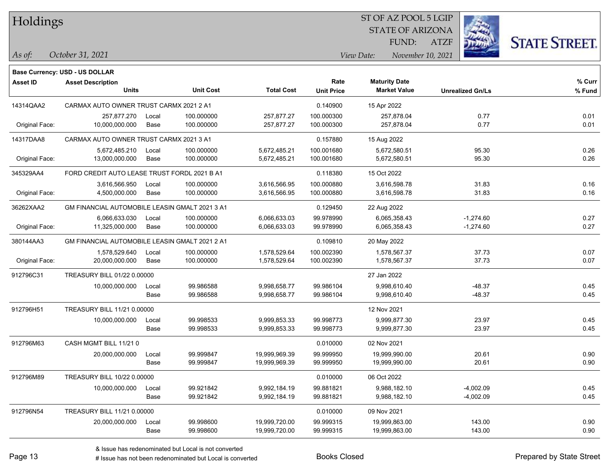### STATE OF ARIZONA ATZF ST OF AZ POOL 5 LGIP FUND:



**Base Currency: USD - US DOLLAR**

| <b>Asset ID</b> | <b>Asset Description</b><br><b>Units</b>       |       | <b>Unit Cost</b> | <b>Total Cost</b> | Rate<br><b>Unit Price</b> | <b>Maturity Date</b><br><b>Market Value</b> | <b>Unrealized Gn/Ls</b> | % Curr<br>% Fund |
|-----------------|------------------------------------------------|-------|------------------|-------------------|---------------------------|---------------------------------------------|-------------------------|------------------|
| 14314QAA2       | CARMAX AUTO OWNER TRUST CARMX 2021 2 A1        |       |                  |                   | 0.140900                  | 15 Apr 2022                                 |                         |                  |
|                 | 257,877.270                                    | Local | 100.000000       | 257,877.27        | 100.000300                | 257,878.04                                  | 0.77                    | 0.01             |
| Original Face:  | 10,000,000.000                                 | Base  | 100.000000       | 257,877.27        | 100.000300                | 257,878.04                                  | 0.77                    | 0.01             |
| 14317DAA8       | CARMAX AUTO OWNER TRUST CARMX 2021 3 A1        |       |                  |                   | 0.157880                  | 15 Aug 2022                                 |                         |                  |
|                 | 5,672,485.210                                  | Local | 100.000000       | 5,672,485.21      | 100.001680                | 5,672,580.51                                | 95.30                   | 0.26             |
| Original Face:  | 13,000,000.000                                 | Base  | 100.000000       | 5,672,485.21      | 100.001680                | 5,672,580.51                                | 95.30                   | 0.26             |
| 345329AA4       | FORD CREDIT AUTO LEASE TRUST FORDL 2021 B A1   |       |                  |                   | 0.118380                  | 15 Oct 2022                                 |                         |                  |
|                 | 3,616,566.950                                  | Local | 100.000000       | 3,616,566.95      | 100.000880                | 3,616,598.78                                | 31.83                   | 0.16             |
| Original Face:  | 4,500,000.000                                  | Base  | 100.000000       | 3,616,566.95      | 100.000880                | 3,616,598.78                                | 31.83                   | 0.16             |
| 36262XAA2       | GM FINANCIAL AUTOMOBILE LEASIN GMALT 2021 3 A1 |       |                  |                   | 0.129450                  | 22 Aug 2022                                 |                         |                  |
|                 | 6,066,633.030                                  | Local | 100.000000       | 6,066,633.03      | 99.978990                 | 6,065,358.43                                | $-1,274.60$             | 0.27             |
| Original Face:  | 11,325,000.000                                 | Base  | 100.000000       | 6,066,633.03      | 99.978990                 | 6,065,358.43                                | $-1,274.60$             | 0.27             |
| 380144AA3       | GM FINANCIAL AUTOMOBILE LEASIN GMALT 2021 2 A1 |       |                  |                   | 0.109810                  | 20 May 2022                                 |                         |                  |
|                 | 1,578,529.640                                  | Local | 100.000000       | 1,578,529.64      | 100.002390                | 1,578,567.37                                | 37.73                   | 0.07             |
| Original Face:  | 20,000,000.000                                 | Base  | 100.000000       | 1,578,529.64      | 100.002390                | 1,578,567.37                                | 37.73                   | 0.07             |
| 912796C31       | TREASURY BILL 01/22 0.00000                    |       |                  |                   |                           | 27 Jan 2022                                 |                         |                  |
|                 | 10,000,000.000                                 | Local | 99.986588        | 9,998,658.77      | 99.986104                 | 9,998,610.40                                | -48.37                  | 0.45             |
|                 |                                                | Base  | 99.986588        | 9,998,658.77      | 99.986104                 | 9,998,610.40                                | $-48.37$                | 0.45             |
| 912796H51       | TREASURY BILL 11/21 0.00000                    |       |                  |                   |                           | 12 Nov 2021                                 |                         |                  |
|                 | 10,000,000.000                                 | Local | 99.998533        | 9,999,853.33      | 99.998773                 | 9,999,877.30                                | 23.97                   | 0.45             |
|                 |                                                | Base  | 99.998533        | 9,999,853.33      | 99.998773                 | 9,999,877.30                                | 23.97                   | 0.45             |
| 912796M63       | CASH MGMT BILL 11/21 0                         |       |                  |                   | 0.010000                  | 02 Nov 2021                                 |                         |                  |
|                 | 20,000,000.000                                 | Local | 99.999847        | 19,999,969.39     | 99.999950                 | 19,999,990.00                               | 20.61                   | 0.90             |
|                 |                                                | Base  | 99.999847        | 19,999,969.39     | 99.999950                 | 19,999,990.00                               | 20.61                   | 0.90             |
| 912796M89       | TREASURY BILL 10/22 0.00000                    |       |                  |                   | 0.010000                  | 06 Oct 2022                                 |                         |                  |
|                 | 10,000,000.000                                 | Local | 99.921842        | 9,992,184.19      | 99.881821                 | 9,988,182.10                                | $-4,002.09$             | 0.45             |
|                 |                                                | Base  | 99.921842        | 9,992,184.19      | 99.881821                 | 9,988,182.10                                | $-4,002.09$             | 0.45             |
| 912796N54       | TREASURY BILL 11/21 0.00000                    |       |                  |                   | 0.010000                  | 09 Nov 2021                                 |                         |                  |
|                 | 20,000,000.000                                 | Local | 99.998600        | 19,999,720.00     | 99.999315                 | 19,999,863.00                               | 143.00                  | 0.90             |
|                 |                                                | Base  | 99.998600        | 19,999,720.00     | 99.999315                 | 19,999,863.00                               | 143.00                  | 0.90             |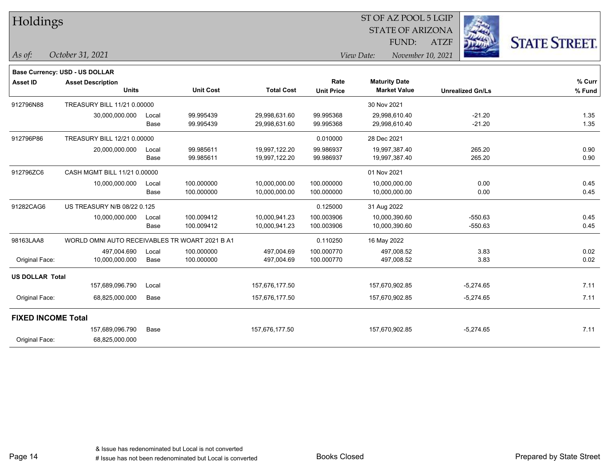| Holdings |
|----------|
|----------|

### STATE OF ARIZONA ATZF ST OF AZ POOL 5 LGIP FUND:



|                           | Base Currency: USD - US DOLLAR                 |       |                  |                   |                   |                      |                         |        |
|---------------------------|------------------------------------------------|-------|------------------|-------------------|-------------------|----------------------|-------------------------|--------|
| <b>Asset ID</b>           | <b>Asset Description</b>                       |       |                  |                   | Rate              | <b>Maturity Date</b> |                         | % Curr |
|                           | <b>Units</b>                                   |       | <b>Unit Cost</b> | <b>Total Cost</b> | <b>Unit Price</b> | <b>Market Value</b>  | <b>Unrealized Gn/Ls</b> | % Fund |
| 912796N88                 | TREASURY BILL 11/21 0.00000                    |       |                  |                   |                   | 30 Nov 2021          |                         |        |
|                           | 30,000,000.000                                 | Local | 99.995439        | 29,998,631.60     | 99.995368         | 29,998,610.40        | $-21.20$                | 1.35   |
|                           |                                                | Base  | 99.995439        | 29,998,631.60     | 99.995368         | 29,998,610.40        | $-21.20$                | 1.35   |
| 912796P86                 | TREASURY BILL 12/21 0.00000                    |       |                  |                   | 0.010000          | 28 Dec 2021          |                         |        |
|                           | 20,000,000.000                                 | Local | 99.985611        | 19,997,122.20     | 99.986937         | 19,997,387.40        | 265.20                  | 0.90   |
|                           |                                                | Base  | 99.985611        | 19,997,122.20     | 99.986937         | 19,997,387.40        | 265.20                  | 0.90   |
| 912796ZC6                 | CASH MGMT BILL 11/21 0.00000                   |       |                  |                   |                   | 01 Nov 2021          |                         |        |
|                           | 10,000,000.000                                 | Local | 100.000000       | 10,000,000.00     | 100.000000        | 10,000,000.00        | 0.00                    | 0.45   |
|                           |                                                | Base  | 100.000000       | 10,000,000.00     | 100.000000        | 10,000,000.00        | 0.00                    | 0.45   |
| 91282CAG6                 | US TREASURY N/B 08/22 0.125                    |       |                  |                   | 0.125000          | 31 Aug 2022          |                         |        |
|                           | 10,000,000.000                                 | Local | 100.009412       | 10,000,941.23     | 100.003906        | 10,000,390.60        | $-550.63$               | 0.45   |
|                           |                                                | Base  | 100.009412       | 10,000,941.23     | 100.003906        | 10,000,390.60        | $-550.63$               | 0.45   |
| 98163LAA8                 | WORLD OMNI AUTO RECEIVABLES TR WOART 2021 B A1 |       |                  |                   | 0.110250          | 16 May 2022          |                         |        |
|                           | 497,004.690                                    | Local | 100.000000       | 497,004.69        | 100.000770        | 497,008.52           | 3.83                    | 0.02   |
| Original Face:            | 10,000,000.000                                 | Base  | 100.000000       | 497,004.69        | 100.000770        | 497,008.52           | 3.83                    | 0.02   |
| <b>US DOLLAR Total</b>    |                                                |       |                  |                   |                   |                      |                         |        |
|                           | 157,689,096.790                                | Local |                  | 157,676,177.50    |                   | 157,670,902.85       | $-5,274.65$             | 7.11   |
| Original Face:            | 68,825,000.000                                 | Base  |                  | 157,676,177.50    |                   | 157,670,902.85       | $-5,274.65$             | 7.11   |
| <b>FIXED INCOME Total</b> |                                                |       |                  |                   |                   |                      |                         |        |
|                           | 157,689,096.790                                | Base  |                  | 157,676,177.50    |                   | 157,670,902.85       | $-5,274.65$             | 7.11   |
| Original Face:            | 68,825,000.000                                 |       |                  |                   |                   |                      |                         |        |
|                           |                                                |       |                  |                   |                   |                      |                         |        |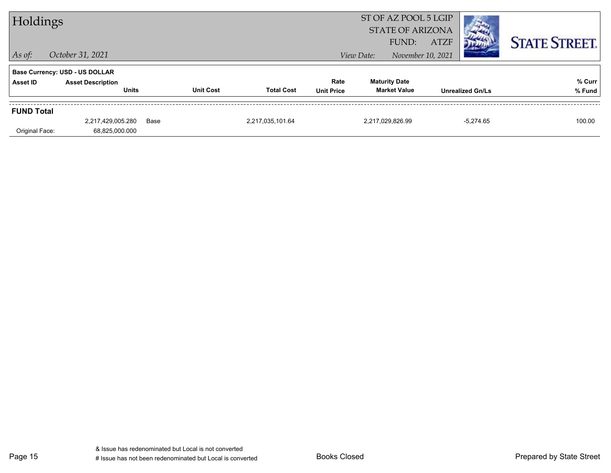|                   | ST OF AZ POOL 5 LGIP<br>Holdings<br><b>STATE OF ARIZONA</b> |      |                  |                   |                           |            |                                             |             |                         |                      |
|-------------------|-------------------------------------------------------------|------|------------------|-------------------|---------------------------|------------|---------------------------------------------|-------------|-------------------------|----------------------|
| $ $ As of:        | October 31, 2021                                            |      |                  |                   |                           | View Date: | FUND:<br>November 10, 2021                  | <b>ATZF</b> |                         | <b>STATE STREET.</b> |
|                   | <b>Base Currency: USD - US DOLLAR</b>                       |      |                  |                   |                           |            |                                             |             |                         |                      |
| Asset ID          | <b>Asset Description</b><br><b>Units</b>                    |      | <b>Unit Cost</b> | <b>Total Cost</b> | Rate<br><b>Unit Price</b> |            | <b>Maturity Date</b><br><b>Market Value</b> |             | <b>Unrealized Gn/Ls</b> | % Curr<br>% Fund     |
| <b>FUND Total</b> |                                                             |      |                  |                   |                           |            |                                             |             |                         |                      |
|                   | 2,217,429,005.280                                           | Base |                  | 2,217,035,101.64  |                           |            | 2,217,029,826.99                            |             | $-5,274.65$             | 100.00               |
| Original Face:    | 68,825,000.000                                              |      |                  |                   |                           |            |                                             |             |                         |                      |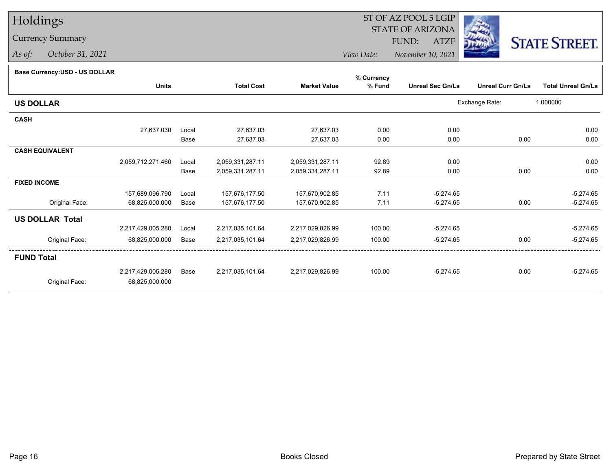## Currency Summary

*As of: October 31, 2021*

### ST OF AZ POOL 5 LGIP STATE OF ARIZONAATZF FUND:



*View Date:November 10, 2021*

### **Base Currency:USD - US DOLLAR**

|                        |                   |       |                   |                     | % Currency |                         |                          |                           |
|------------------------|-------------------|-------|-------------------|---------------------|------------|-------------------------|--------------------------|---------------------------|
|                        | <b>Units</b>      |       | <b>Total Cost</b> | <b>Market Value</b> | % Fund     | <b>Unreal Sec Gn/Ls</b> | <b>Unreal Curr Gn/Ls</b> | <b>Total Unreal Gn/Ls</b> |
| <b>US DOLLAR</b>       |                   |       |                   |                     |            |                         | Exchange Rate:           | 1.000000                  |
| <b>CASH</b>            |                   |       |                   |                     |            |                         |                          |                           |
|                        | 27,637.030        | Local | 27,637.03         | 27,637.03           | 0.00       | 0.00                    |                          | 0.00                      |
|                        |                   | Base  | 27,637.03         | 27,637.03           | 0.00       | 0.00                    | 0.00                     | 0.00                      |
| <b>CASH EQUIVALENT</b> |                   |       |                   |                     |            |                         |                          |                           |
|                        | 2,059,712,271.460 | Local | 2,059,331,287.11  | 2,059,331,287.11    | 92.89      | 0.00                    |                          | 0.00                      |
|                        |                   | Base  | 2,059,331,287.11  | 2,059,331,287.11    | 92.89      | 0.00                    | 0.00                     | 0.00                      |
| <b>FIXED INCOME</b>    |                   |       |                   |                     |            |                         |                          |                           |
|                        | 157,689,096.790   | Local | 157,676,177.50    | 157,670,902.85      | 7.11       | $-5,274.65$             |                          | $-5,274.65$               |
| Original Face:         | 68,825,000.000    | Base  | 157,676,177.50    | 157,670,902.85      | 7.11       | $-5,274.65$             | 0.00                     | $-5,274.65$               |
| <b>US DOLLAR Total</b> |                   |       |                   |                     |            |                         |                          |                           |
|                        | 2,217,429,005.280 | Local | 2,217,035,101.64  | 2,217,029,826.99    | 100.00     | $-5,274.65$             |                          | $-5,274.65$               |
| Original Face:         | 68,825,000.000    | Base  | 2,217,035,101.64  | 2,217,029,826.99    | 100.00     | $-5,274.65$             | 0.00                     | $-5,274.65$               |
| <b>FUND Total</b>      |                   |       |                   |                     |            |                         |                          |                           |
|                        | 2,217,429,005.280 | Base  | 2,217,035,101.64  | 2,217,029,826.99    | 100.00     | $-5,274.65$             | 0.00                     | $-5,274.65$               |
| Original Face:         | 68,825,000.000    |       |                   |                     |            |                         |                          |                           |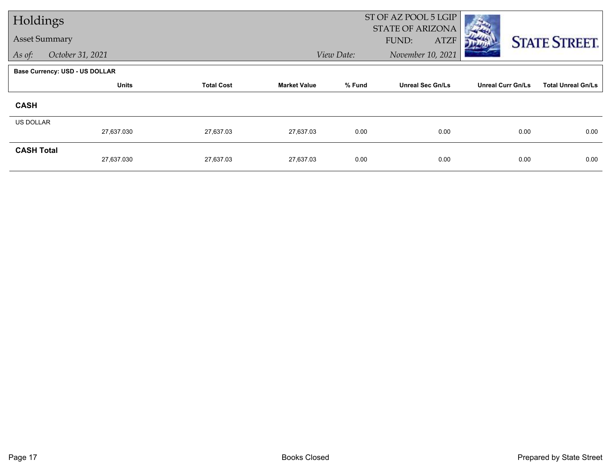| Holdings             |                                       |                   |                     |            | ST OF AZ POOL 5 LGIP<br><b>STATE OF ARIZONA</b> |                          |                           |
|----------------------|---------------------------------------|-------------------|---------------------|------------|-------------------------------------------------|--------------------------|---------------------------|
| <b>Asset Summary</b> |                                       |                   |                     |            | FUND:<br><b>ATZF</b>                            |                          | <b>STATE STREET.</b>      |
| As of:               | October 31, 2021                      |                   |                     | View Date: | November 10, 2021                               |                          |                           |
|                      | <b>Base Currency: USD - US DOLLAR</b> |                   |                     |            |                                                 |                          |                           |
|                      | <b>Units</b>                          | <b>Total Cost</b> | <b>Market Value</b> | % Fund     | <b>Unreal Sec Gn/Ls</b>                         | <b>Unreal Curr Gn/Ls</b> | <b>Total Unreal Gn/Ls</b> |
| <b>CASH</b>          |                                       |                   |                     |            |                                                 |                          |                           |
| <b>US DOLLAR</b>     | 27,637.030                            | 27,637.03         | 27,637.03           | 0.00       | 0.00                                            | 0.00                     | 0.00                      |
|                      |                                       |                   |                     |            |                                                 |                          |                           |
| <b>CASH Total</b>    | 27,637.030                            | 27,637.03         | 27,637.03           | 0.00       | 0.00                                            | 0.00                     | 0.00                      |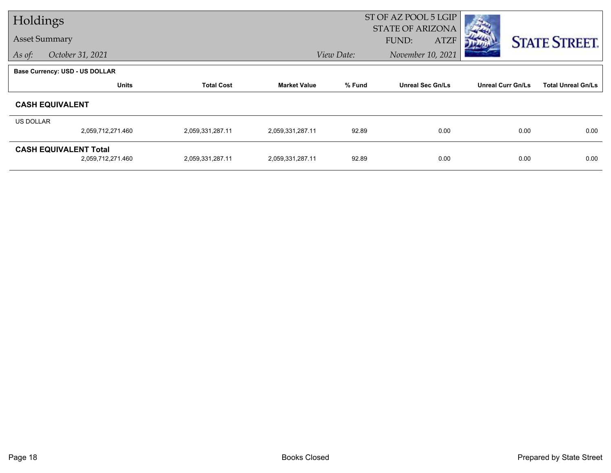| Holdings         |                                                   |                   |                     |            | ST OF AZ POOL 5 LGIP<br><b>STATE OF ARIZONA</b> |                          |                           |
|------------------|---------------------------------------------------|-------------------|---------------------|------------|-------------------------------------------------|--------------------------|---------------------------|
|                  | <b>Asset Summary</b>                              |                   |                     |            | <b>FUND:</b><br><b>ATZF</b>                     |                          | <b>STATE STREET.</b>      |
| As of:           | October 31, 2021                                  |                   |                     | View Date: | November 10, 2021                               |                          |                           |
|                  | <b>Base Currency: USD - US DOLLAR</b>             |                   |                     |            |                                                 |                          |                           |
|                  | <b>Units</b>                                      | <b>Total Cost</b> | <b>Market Value</b> | % Fund     | <b>Unreal Sec Gn/Ls</b>                         | <b>Unreal Curr Gn/Ls</b> | <b>Total Unreal Gn/Ls</b> |
|                  | <b>CASH EQUIVALENT</b>                            |                   |                     |            |                                                 |                          |                           |
| <b>US DOLLAR</b> |                                                   |                   |                     |            |                                                 |                          |                           |
|                  | 2,059,712,271.460                                 | 2,059,331,287.11  | 2,059,331,287.11    | 92.89      | 0.00                                            | 0.00                     | 0.00                      |
|                  | <b>CASH EQUIVALENT Total</b><br>2,059,712,271.460 | 2,059,331,287.11  | 2,059,331,287.11    | 92.89      | 0.00                                            | 0.00                     | 0.00                      |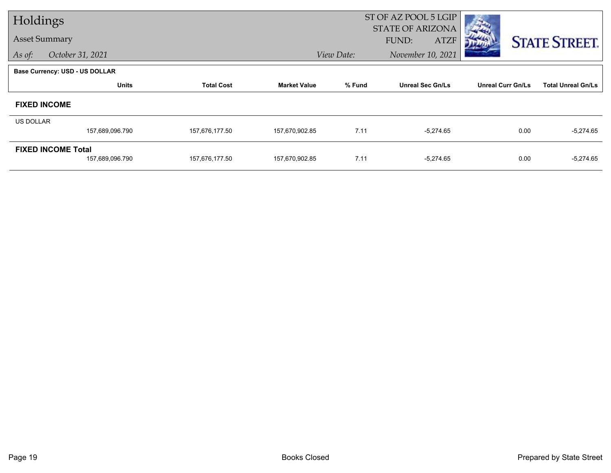| Holdings         |                                              |                   |                     |            | ST OF AZ POOL 5 LGIP                            |                          |                           |
|------------------|----------------------------------------------|-------------------|---------------------|------------|-------------------------------------------------|--------------------------|---------------------------|
|                  | <b>Asset Summary</b>                         |                   |                     |            | <b>STATE OF ARIZONA</b><br>FUND:<br><b>ATZF</b> |                          | <b>STATE STREET.</b>      |
| As of:           | October 31, 2021                             |                   |                     | View Date: | November 10, 2021                               |                          |                           |
|                  | <b>Base Currency: USD - US DOLLAR</b>        |                   |                     |            |                                                 |                          |                           |
|                  | <b>Units</b>                                 | <b>Total Cost</b> | <b>Market Value</b> | % Fund     | <b>Unreal Sec Gn/Ls</b>                         | <b>Unreal Curr Gn/Ls</b> | <b>Total Unreal Gn/Ls</b> |
|                  | <b>FIXED INCOME</b>                          |                   |                     |            |                                                 |                          |                           |
| <b>US DOLLAR</b> |                                              |                   |                     |            |                                                 |                          |                           |
|                  | 157,689,096.790                              | 157,676,177.50    | 157,670,902.85      | 7.11       | $-5,274.65$                                     | 0.00                     | $-5,274.65$               |
|                  | <b>FIXED INCOME Total</b><br>157,689,096.790 | 157,676,177.50    | 157,670,902.85      | 7.11       | $-5,274.65$                                     | 0.00                     | $-5,274.65$               |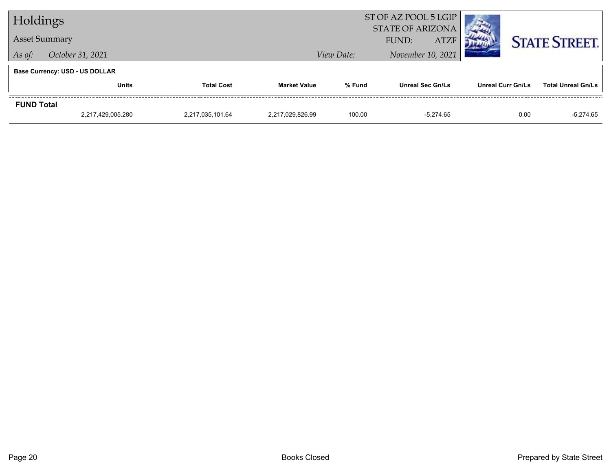| Holdings                              |                      |                   | ST OF AZ POOL 5 LGIP<br><b>STATE OF ARIZONA</b> |                                              |                         |                          |                           |  |
|---------------------------------------|----------------------|-------------------|-------------------------------------------------|----------------------------------------------|-------------------------|--------------------------|---------------------------|--|
|                                       | <b>Asset Summary</b> |                   |                                                 | <b>STATE STREET.</b><br><b>ATZF</b><br>FUND: |                         |                          |                           |  |
| As of:                                | October 31, 2021     |                   |                                                 | November 10, 2021<br>View Date:              |                         |                          |                           |  |
| <b>Base Currency: USD - US DOLLAR</b> |                      |                   |                                                 |                                              |                         |                          |                           |  |
|                                       | Units                | <b>Total Cost</b> | <b>Market Value</b>                             | % Fund                                       | <b>Unreal Sec Gn/Ls</b> | <b>Unreal Curr Gn/Ls</b> | <b>Total Unreal Gn/Ls</b> |  |
| <b>FUND Total</b>                     |                      |                   |                                                 |                                              |                         |                          |                           |  |
|                                       | 2.217.429.005.280    | 2.217.035.101.64  | 2.217.029.826.99                                | 100.00                                       | $-5.274.65$             | 0.00                     | $-5.274.65$               |  |